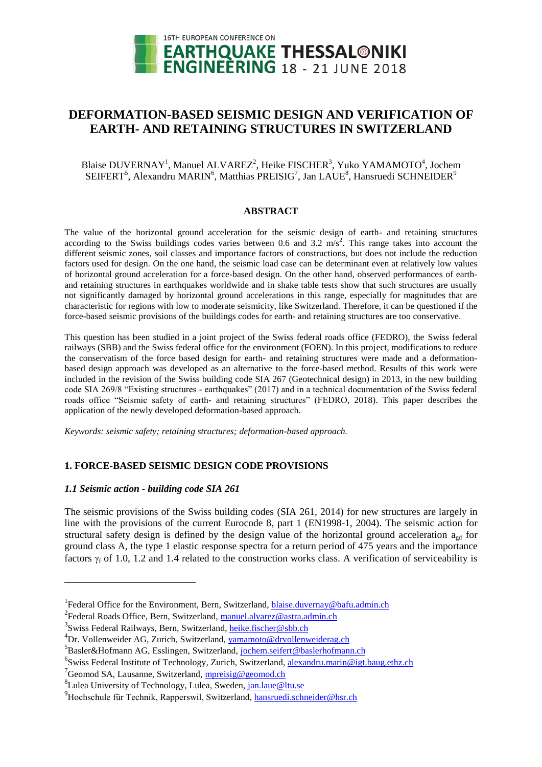

# **DEFORMATION-BASED SEISMIC DESIGN AND VERIFICATION OF EARTH- AND RETAINING STRUCTURES IN SWITZERLAND**

# Blaise DUVERNAY<sup>1</sup>, Manuel ALVAREZ<sup>2</sup>, Heike FISCHER<sup>3</sup>, Yuko YAMAMOTO<sup>4</sup>, Jochem SEIFERT<sup>5</sup>, Alexandru MARIN<sup>6</sup>, Matthias PREISIG<sup>7</sup>, Jan LAUE<sup>8</sup>, Hansruedi SCHNEIDER<sup>9</sup>

### **ABSTRACT**

The value of the horizontal ground acceleration for the seismic design of earth- and retaining structures according to the Swiss buildings codes varies between 0.6 and 3.2  $\text{m/s}^2$ . This range takes into account the different seismic zones, soil classes and importance factors of constructions, but does not include the reduction factors used for design. On the one hand, the seismic load case can be determinant even at relatively low values of horizontal ground acceleration for a force-based design. On the other hand, observed performances of earthand retaining structures in earthquakes worldwide and in shake table tests show that such structures are usually not significantly damaged by horizontal ground accelerations in this range, especially for magnitudes that are characteristic for regions with low to moderate seismicity, like Switzerland. Therefore, it can be questioned if the force-based seismic provisions of the buildings codes for earth- and retaining structures are too conservative.

This question has been studied in a joint project of the Swiss federal roads office (FEDRO), the Swiss federal railways (SBB) and the Swiss federal office for the environment (FOEN). In this project, modifications to reduce the conservatism of the force based design for earth- and retaining structures were made and a deformationbased design approach was developed as an alternative to the force-based method. Results of this work were included in the revision of the Swiss building code SIA 267 (Geotechnical design) in 2013, in the new building code SIA 269/8 "Existing structures - earthquakes" (2017) and in a technical documentation of the Swiss federal roads office "Seismic safety of earth- and retaining structures" (FEDRO, 2018). This paper describes the application of the newly developed deformation-based approach.

*Keywords: seismic safety; retaining structures; deformation-based approach.*

# **1. FORCE-BASED SEISMIC DESIGN CODE PROVISIONS**

# *1.1 Seismic action - building code SIA 261*

l

The seismic provisions of the Swiss building codes (SIA 261, 2014) for new structures are largely in line with the provisions of the current Eurocode 8, part 1 (EN1998-1, 2004). The seismic action for structural safety design is defined by the design value of the horizontal ground acceleration  $a_{gd}$  for ground class A, the type 1 elastic response spectra for a return period of 475 years and the importance factors  $\gamma_f$  of 1.0, 1.2 and 1.4 related to the construction works class. A verification of serviceability is

<sup>&</sup>lt;sup>1</sup> Federal Office for the Environment, Bern, Switzerland, **blaise.duvernay@bafu.admin.ch** 

<sup>&</sup>lt;sup>2</sup>Federal Roads Office, Bern, Switzerland, <u>manuel.alvarez@astra.admin.ch</u>

<sup>&</sup>lt;sup>3</sup>Swiss Federal Railways, Bern, Switzerland, *heike.fischer@sbb.ch* 

<sup>&</sup>lt;sup>4</sup>Dr. Vollenweider AG, Zurich, Switzerland, vamamoto@drvollenweiderag.ch

<sup>&</sup>lt;sup>5</sup> Basler&Hofmann AG, Esslingen, Switzerland, [jochem.seifert@](mailto:jochem.seifert)baslerhofmann.ch

<sup>&</sup>lt;sup>6</sup>Swiss Federal Institute of Technology, Zurich, Switzerland, [alexandru.](mailto:alexandru)marin@igt.baug.ethz.ch

<sup>&</sup>lt;sup>7</sup>Geomod SA, Lausanne, Switzerland, [mpreisig@](mailto:mpreisig)geomod.ch

<sup>&</sup>lt;sup>8</sup>Lulea University of Technology, Lulea, Sweden, <u>jan.laue@ltu.se</u>

 $^{9}$ Hochschule für Technik, Rapperswil, Switzerland, [hansruedi.schneider@](mailto:hansruedi.schneider)hsr.ch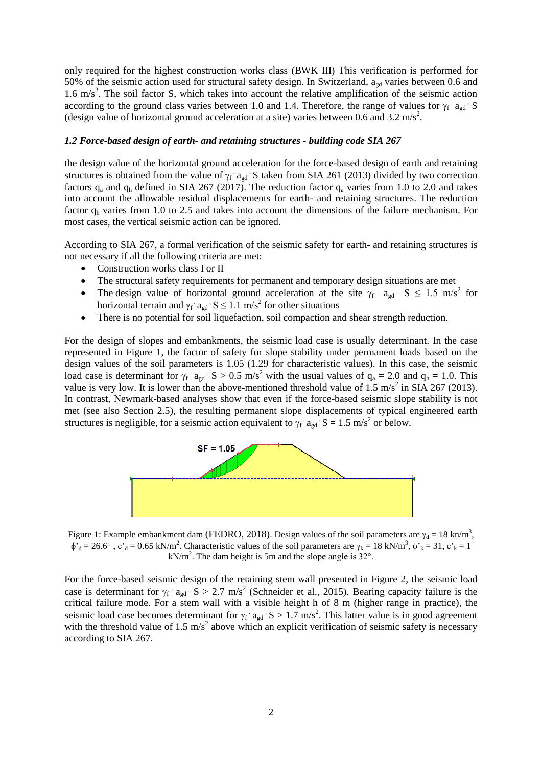only required for the highest construction works class (BWK III) This verification is performed for 50% of the seismic action used for structural safety design. In Switzerland,  $a_{gd}$  varies between 0.6 and 1.6 m/s<sup>2</sup>. The soil factor S, which takes into account the relative amplification of the seismic action according to the ground class varies between 1.0 and 1.4. Therefore, the range of values for  $\gamma_f$  a<sub>gd</sub> S (design value of horizontal ground acceleration at a site) varies between 0.6 and 3.2 m/s<sup>2</sup>.

### *1.2 Force-based design of earth- and retaining structures - building code SIA 267*

the design value of the horizontal ground acceleration for the force-based design of earth and retaining structures is obtained from the value of  $\gamma_f$  a<sub>gd</sub> S taken from SIA 261 (2013) divided by two correction factors  $q_a$  and  $q_b$  defined in SIA 267 (2017). The reduction factor  $q_a$  varies from 1.0 to 2.0 and takes into account the allowable residual displacements for earth- and retaining structures. The reduction factor  $q<sub>h</sub>$  varies from 1.0 to 2.5 and takes into account the dimensions of the failure mechanism. For most cases, the vertical seismic action can be ignored.

According to SIA 267, a formal verification of the seismic safety for earth- and retaining structures is not necessary if all the following criteria are met:

- Construction works class I or II
- The structural safety requirements for permanent and temporary design situations are met
- The design value of horizontal ground acceleration at the site  $\gamma_f$  agd S  $\leq$  1.5 m/s<sup>2</sup> for horizontal terrain and  $\gamma_f$  a<sub>gd</sub>  $S \le 1.1$  m/s<sup>2</sup> for other situations
- There is no potential for soil liquefaction, soil compaction and shear strength reduction.

For the design of slopes and embankments, the seismic load case is usually determinant. In the case represented in Figure 1, the factor of safety for slope stability under permanent loads based on the design values of the soil parameters is 1.05 (1.29 for characteristic values). In this case, the seismic load case is determinant for  $\gamma_f$  a<sub>gd</sub> S > 0.5 m/s<sup>2</sup> with the usual values of  $q_a = 2.0$  and  $q_h = 1.0$ . This value is very low. It is lower than the above-mentioned threshold value of  $1.5 \text{ m/s}^2$  in SIA 267 (2013). In contrast, Newmark-based analyses show that even if the force-based seismic slope stability is not met (see also Section 2.5), the resulting permanent slope displacements of typical engineered earth structures is negligible, for a seismic action equivalent to  $\gamma_f$  a<sub>gd</sub> S = 1.5 m/s<sup>2</sup> or below.



Figure 1: Example embankment dam (FEDRO, 2018). Design values of the soil parameters are  $\gamma_d = 18$  kn/m<sup>3</sup>,  $\phi_d = 26.6^\circ$ ,  $c_d = 0.65$  kN/m<sup>2</sup>. Characteristic values of the soil parameters are  $\gamma_k = 18$  kN/m<sup>3</sup>,  $\phi_k = 31$ ,  $c_k = 1$  $kN/m<sup>2</sup>$ . The dam height is 5m and the slope angle is 32 $^{\circ}$ .

For the force-based seismic design of the retaining stem wall presented in Figure 2, the seismic load case is determinant for  $\gamma_f$  a<sub>gd</sub>  $S > 2.7$  m/s<sup>2</sup> (Schneider et al., 2015). Bearing capacity failure is the critical failure mode. For a stem wall with a visible height h of 8 m (higher range in practice), the seismic load case becomes determinant for  $\gamma_f$  a<sub>gd</sub> S > 1.7 m/s<sup>2</sup>. This latter value is in good agreement with the threshold value of 1.5 m/s<sup>2</sup> above which an explicit verification of seismic safety is necessary according to SIA 267.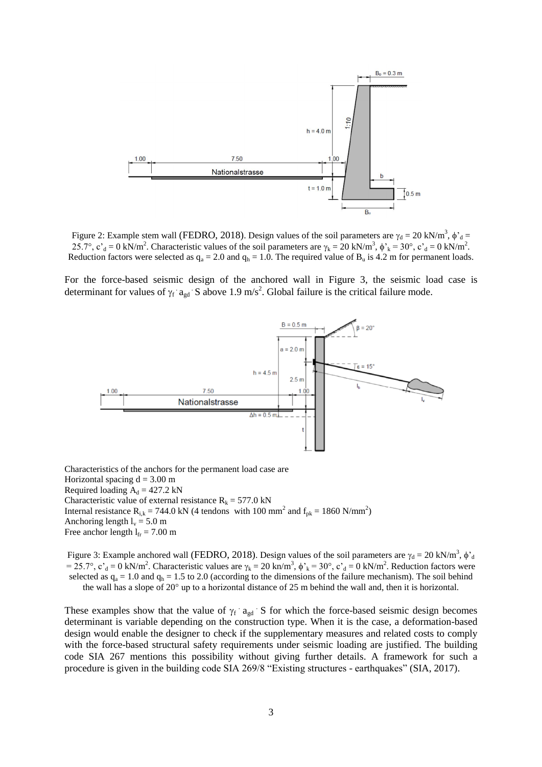

Figure 2: Example stem wall (FEDRO, 2018). Design values of the soil parameters are  $\gamma_d = 20 \text{ kN/m}^3$ ,  $\phi_d =$ 25.7°,  $c_d = 0$  kN/m<sup>2</sup>. Characteristic values of the soil parameters are  $\gamma_k = 20$  kN/m<sup>3</sup>,  $\phi'_{k} = 30^{\circ}$ ,  $c_d = 0$  kN/m<sup>2</sup>. Reduction factors were selected as  $q_a = 2.0$  and  $q_h = 1.0$ . The required value of  $B_u$  is 4.2 m for permanent loads.

For the force-based seismic design of the anchored wall in Figure 3, the seismic load case is determinant for values of  $\gamma_f$  a<sub>gd</sub> S above 1.9 m/s<sup>2</sup>. Global failure is the critical failure mode.



Characteristics of the anchors for the permanent load case are Horizontal spacing  $d = 3.00$  m Required loading  $A_d = 427.2$  kN Characteristic value of external resistance  $R_k = 577.0 \text{ kN}$ Internal resistance R<sub>i,k</sub> = 744.0 kN (4 tendons with 100 mm<sup>2</sup> and  $f_{pk}$  = 1860 N/mm<sup>2</sup>) Anchoring length  $l_v = 5.0$  m Free anchor length  $l_{fr} = 7.00$  m

Figure 3: Example anchored wall (FEDRO, 2018). Design values of the soil parameters are  $\gamma_d = 20 \text{ kN/m}^3$ ,  $\phi_d$ = 25.7°, c'<sub>d</sub> = 0 kN/m<sup>2</sup>. Characteristic values are  $\gamma_k = 20$  kn/m<sup>3</sup>,  $\phi'_{k} = 30^\circ$ , c'<sub>d</sub> = 0 kN/m<sup>2</sup>. Reduction factors were selected as  $q_a = 1.0$  and  $q_h = 1.5$  to 2.0 (according to the dimensions of the failure mechanism). The soil behind the wall has a slope of  $20^{\circ}$  up to a horizontal distance of  $25$  m behind the wall and, then it is horizontal.

These examples show that the value of  $\gamma_f$  a<sub>gd</sub> S for which the force-based seismic design becomes determinant is variable depending on the construction type. When it is the case, a deformation-based design would enable the designer to check if the supplementary measures and related costs to comply with the force-based structural safety requirements under seismic loading are justified. The building code SIA 267 mentions this possibility without giving further details. A framework for such a procedure is given in the building code SIA 269/8 "Existing structures - earthquakes" (SIA, 2017).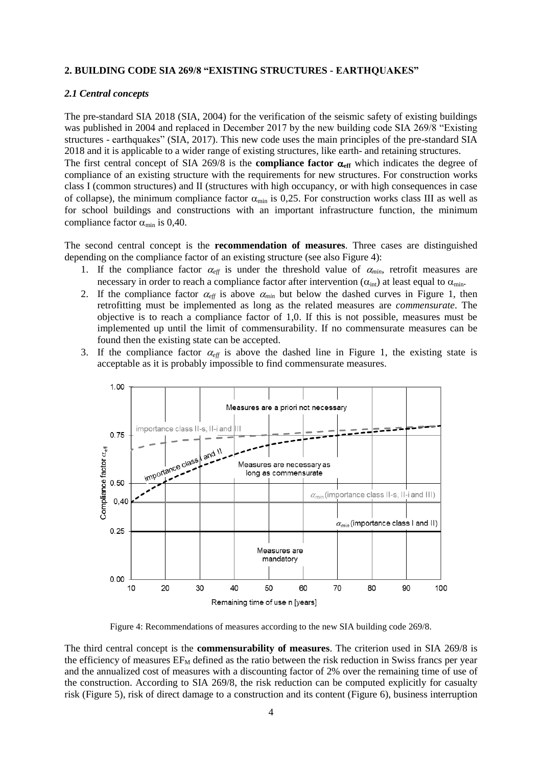### **2. BUILDING CODE SIA 269/8 "EXISTING STRUCTURES - EARTHQUAKES"**

### *2.1 Central concepts*

compliance factor  $\alpha_{\min}$  is 0,40.

The pre-standard SIA 2018 (SIA, 2004) for the verification of the seismic safety of existing buildings was published in 2004 and replaced in December 2017 by the new building code SIA 269/8 "Existing structures - earthquakes" (SIA, 2017). This new code uses the main principles of the pre-standard SIA 2018 and it is applicable to a wider range of existing structures, like earth- and retaining structures. The first central concept of SIA 269/8 is the **compliance factor**  $\alpha_{\text{eff}}$  which indicates the degree of compliance of an existing structure with the requirements for new structures. For construction works class I (common structures) and II (structures with high occupancy, or with high consequences in case of collapse), the minimum compliance factor  $\alpha_{\min}$  is 0,25. For construction works class III as well as

The second central concept is the **recommendation of measures**. Three cases are distinguished depending on the compliance factor of an existing structure (see also Figure 4):

for school buildings and constructions with an important infrastructure function, the minimum

- 1. If the compliance factor  $\alpha_{\text{eff}}$  is under the threshold value of  $\alpha_{\text{min}}$ , retrofit measures are necessary in order to reach a compliance factor after intervention  $(\alpha_{int})$  at least equal to  $\alpha_{min}$ .
- 2. If the compliance factor  $\alpha_{\text{eff}}$  is above  $\alpha_{\text{min}}$  but below the dashed curves in Figure 1, then retrofitting must be implemented as long as the related measures are *commensurate*. The objective is to reach a compliance factor of 1,0. If this is not possible, measures must be implemented up until the limit of commensurability. If no commensurate measures can be found then the existing state can be accepted.
- 3. If the compliance factor  $\alpha_{\text{eff}}$  is above the dashed line in Figure 1, the existing state is acceptable as it is probably impossible to find commensurate measures.



Figure 4: Recommendations of measures according to the new SIA building code 269/8.

The third central concept is the **commensurability of measures**. The criterion used in SIA 269/8 is the efficiency of measures  $E_{M}$  defined as the ratio between the risk reduction in Swiss francs per year and the annualized cost of measures with a discounting factor of 2% over the remaining time of use of the construction. According to SIA 269/8, the risk reduction can be computed explicitly for casualty risk (Figure 5), risk of direct damage to a construction and its content (Figure 6), business interruption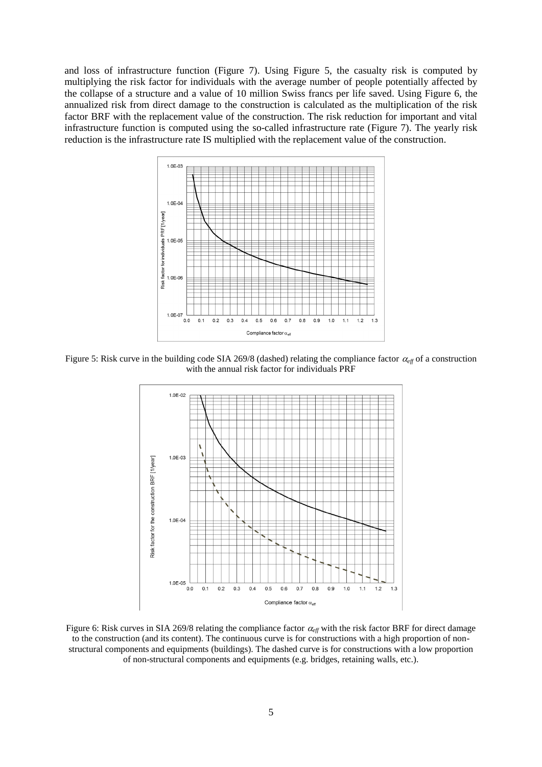and loss of infrastructure function (Figure 7). Using Figure 5, the casualty risk is computed by multiplying the risk factor for individuals with the average number of people potentially affected by the collapse of a structure and a value of 10 million Swiss francs per life saved. Using Figure 6, the annualized risk from direct damage to the construction is calculated as the multiplication of the risk factor BRF with the replacement value of the construction. The risk reduction for important and vital infrastructure function is computed using the so-called infrastructure rate (Figure 7). The yearly risk reduction is the infrastructure rate IS multiplied with the replacement value of the construction.



Figure 5: Risk curve in the building code SIA 269/8 (dashed) relating the compliance factor  $\alpha_{eff}$  of a construction with the annual risk factor for individuals PRF



Figure 6: Risk curves in SIA 269/8 relating the compliance factor  $\alpha_{\text{eff}}$  with the risk factor BRF for direct damage to the construction (and its content). The continuous curve is for constructions with a high proportion of nonstructural components and equipments (buildings). The dashed curve is for constructions with a low proportion of non-structural components and equipments (e.g. bridges, retaining walls, etc.).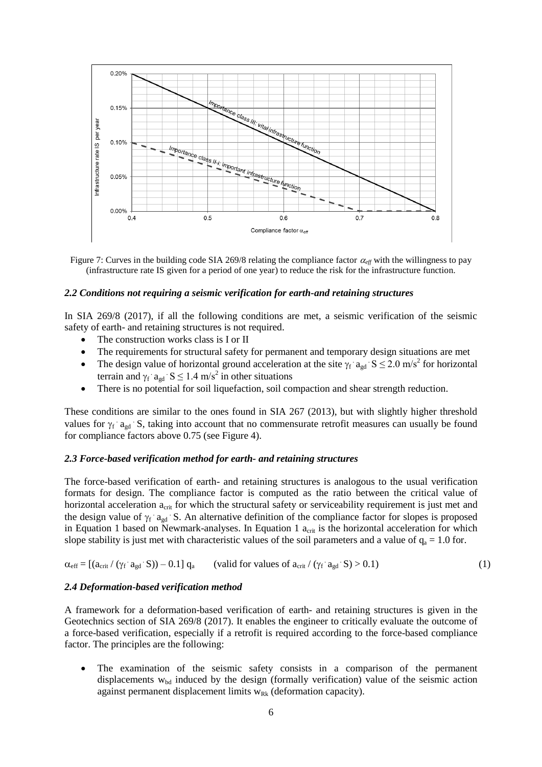

Figure 7: Curves in the building code SIA 269/8 relating the compliance factor  $\alpha_{\text{eff}}$  with the willingness to pay (infrastructure rate IS given for a period of one year) to reduce the risk for the infrastructure function.

#### *2.2 Conditions not requiring a seismic verification for earth-and retaining structures*

In SIA 269/8 (2017), if all the following conditions are met, a seismic verification of the seismic safety of earth- and retaining structures is not required.

- The construction works class is I or II
- The requirements for structural safety for permanent and temporary design situations are met
- The design value of horizontal ground acceleration at the site  $\gamma_f$  a<sub>gd</sub> S  $\leq$  2.0 m/s<sup>2</sup> for horizontal terrain and  $\gamma_f$  a<sub>gd</sub>  $S \le 1.4$  m/s<sup>2</sup> in other situations
- There is no potential for soil liquefaction, soil compaction and shear strength reduction.

These conditions are similar to the ones found in SIA 267 (2013), but with slightly higher threshold values for  $\gamma_f$  a<sub>gd</sub> S, taking into account that no commensurate retrofit measures can usually be found for compliance factors above 0.75 (see Figure 4).

### *2.3 Force-based verification method for earth- and retaining structures*

The force-based verification of earth- and retaining structures is analogous to the usual verification formats for design. The compliance factor is computed as the ratio between the critical value of horizontal acceleration  $a_{\text{crit}}$  for which the structural safety or serviceability requirement is just met and the design value of  $\gamma_f$  a<sub>gd</sub> S. An alternative definition of the compliance factor for slopes is proposed in Equation 1 based on Newmark-analyses. In Equation 1  $a_{\text{crit}}$  is the horizontal acceleration for which slope stability is just met with characteristic values of the soil parameters and a value of  $q_a = 1.0$  for.

 $\alpha_{\text{eff}} = [(a_{\text{crit}} / (\gamma_f \cdot a_{\text{gd}}))$ S)) – 0.1]  $q_a$  (valid for values of  $a_{\text{crit}} / (\gamma_f \cdot a_{\text{gd}} \cdot S) > 0.1$ ) (1)

### *2.4 Deformation-based verification method*

A framework for a deformation-based verification of earth- and retaining structures is given in the Geotechnics section of SIA 269/8 (2017). It enables the engineer to critically evaluate the outcome of a force-based verification, especially if a retrofit is required according to the force-based compliance factor. The principles are the following:

 The examination of the seismic safety consists in a comparison of the permanent displacements  $w_{bd}$  induced by the design (formally verification) value of the seismic action against permanent displacement limits  $w_{Rk}$  (deformation capacity).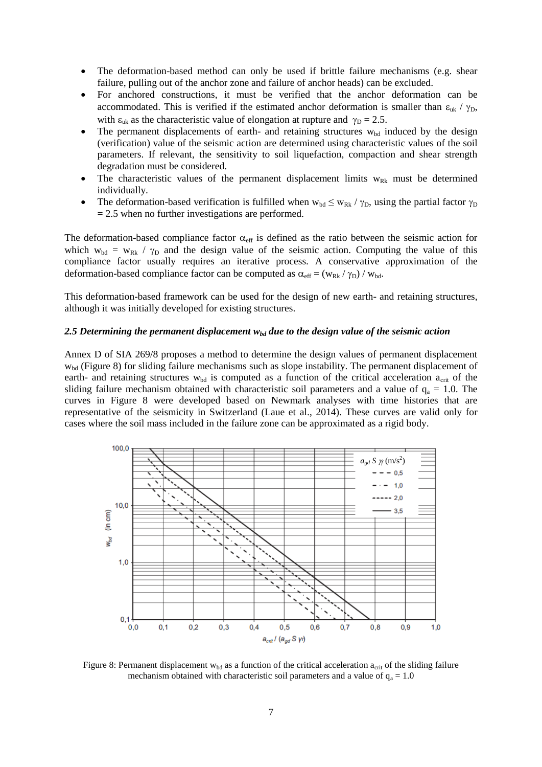- The deformation-based method can only be used if brittle failure mechanisms (e.g. shear failure, pulling out of the anchor zone and failure of anchor heads) can be excluded.
- For anchored constructions, it must be verified that the anchor deformation can be accommodated. This is verified if the estimated anchor deformation is smaller than  $\varepsilon_{uk}$  /  $\gamma_D$ , with  $\varepsilon_{uk}$  as the characteristic value of elongation at rupture and  $\gamma_D = 2.5$ .
- The permanent displacements of earth- and retaining structures  $w_{bd}$  induced by the design (verification) value of the seismic action are determined using characteristic values of the soil parameters. If relevant, the sensitivity to soil liquefaction, compaction and shear strength degradation must be considered.
- The characteristic values of the permanent displacement limits  $w_{Rk}$  must be determined individually.
- The deformation-based verification is fulfilled when  $w_{bd} \leq w_{Rk} / \gamma_D$ , using the partial factor  $\gamma_D$  $= 2.5$  when no further investigations are performed.

The deformation-based compliance factor  $\alpha_{\text{eff}}$  is defined as the ratio between the seismic action for which  $w_{bd} = w_{Rk} / \gamma_D$  and the design value of the seismic action. Computing the value of this compliance factor usually requires an iterative process. A conservative approximation of the deformation-based compliance factor can be computed as  $\alpha_{\text{eff}} = (w_{\text{Rk}} / \gamma_{\text{D}}) / w_{\text{bd}}$ .

This deformation-based framework can be used for the design of new earth- and retaining structures, although it was initially developed for existing structures.

#### 2.5 Determining the permanent displacement  $w_{bd}$  due to the design value of the seismic action

Annex D of SIA 269/8 proposes a method to determine the design values of permanent displacement wbd (Figure 8) for sliding failure mechanisms such as slope instability. The permanent displacement of earth- and retaining structures  $w_{bd}$  is computed as a function of the critical acceleration  $a_{crit}$  of the sliding failure mechanism obtained with characteristic soil parameters and a value of  $q_a = 1.0$ . The curves in Figure 8 were developed based on Newmark analyses with time histories that are representative of the seismicity in Switzerland (Laue et al., 2014). These curves are valid only for cases where the soil mass included in the failure zone can be approximated as a rigid body.



Figure 8: Permanent displacement  $w_{bd}$  as a function of the critical acceleration  $a_{crit}$  of the sliding failure mechanism obtained with characteristic soil parameters and a value of  $q_a = 1.0$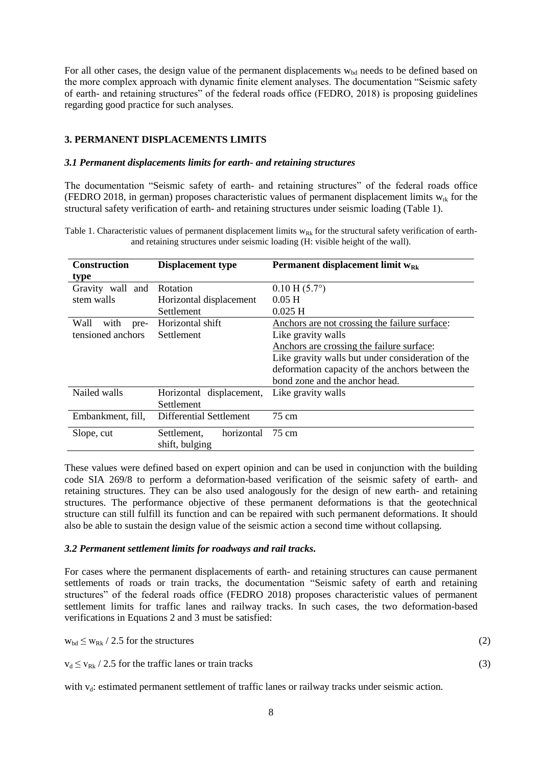For all other cases, the design value of the permanent displacements  $w_{bd}$  needs to be defined based on the more complex approach with dynamic finite element analyses. The documentation "Seismic safety of earth- and retaining structures" of the federal roads office (FEDRO, 2018) is proposing guidelines regarding good practice for such analyses.

# **3. PERMANENT DISPLACEMENTS LIMITS**

### *3.1 Permanent displacements limits for earth- and retaining structures*

The documentation "Seismic safety of earth- and retaining structures" of the federal roads office (FEDRO 2018, in german) proposes characteristic values of permanent displacement limits  $w_{rk}$  for the structural safety verification of earth- and retaining structures under seismic loading (Table 1).

Table 1. Characteristic values of permanent displacement limits  $w_{Rk}$  for the structural safety verification of earthand retaining structures under seismic loading (H: visible height of the wall).

| <b>Displacement type</b>       | Permanent displacement limit $w_{Rk}$             |  |
|--------------------------------|---------------------------------------------------|--|
|                                |                                                   |  |
| Gravity wall and<br>Rotation   | $0.10 \text{ H} (5.7^{\circ})$                    |  |
| Horizontal displacement        | $0.05$ H                                          |  |
| Settlement                     | $0.025$ H                                         |  |
| Horizontal shift               | Anchors are not crossing the failure surface:     |  |
| Settlement                     | Like gravity walls                                |  |
|                                | Anchors are crossing the failure surface:         |  |
|                                | Like gravity walls but under consideration of the |  |
|                                | deformation capacity of the anchors between the   |  |
|                                | bond zone and the anchor head.                    |  |
| Horizontal displacement,       | Like gravity walls                                |  |
| Settlement                     |                                                   |  |
| <b>Differential Settlement</b> | $75 \text{ cm}$                                   |  |
| horizontal<br>Settlement,      | 75 cm                                             |  |
| shift, bulging                 |                                                   |  |
|                                |                                                   |  |

These values were defined based on expert opinion and can be used in conjunction with the building code SIA 269/8 to perform a deformation-based verification of the seismic safety of earth- and retaining structures. They can be also used analogously for the design of new earth- and retaining structures. The performance objective of these permanent deformations is that the geotechnical structure can still fulfill its function and can be repaired with such permanent deformations. It should also be able to sustain the design value of the seismic action a second time without collapsing.

# *3.2 Permanent settlement limits for roadways and rail tracks.*

For cases where the permanent displacements of earth- and retaining structures can cause permanent settlements of roads or train tracks, the documentation "Seismic safety of earth and retaining structures" of the federal roads office (FEDRO 2018) proposes characteristic values of permanent settlement limits for traffic lanes and railway tracks. In such cases, the two deformation-based verifications in Equations 2 and 3 must be satisfied:

| $w_{bd} \leq w_{Rk} / 2.5$ for the structures | (2) |
|-----------------------------------------------|-----|
|                                               |     |

 $v_d \le v_{Rk} / 2.5$  for the traffic lanes or train tracks (3)

with  $v_d$ : estimated permanent settlement of traffic lanes or railway tracks under seismic action.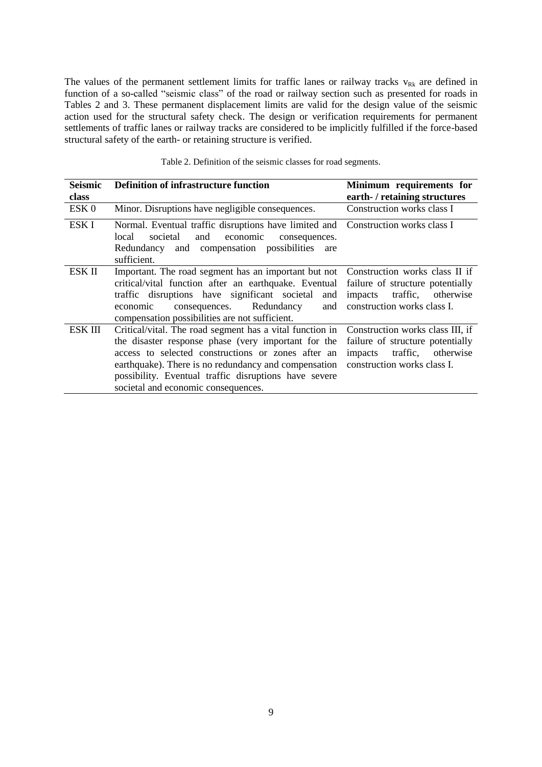The values of the permanent settlement limits for traffic lanes or railway tracks  $v_{Rk}$  are defined in function of a so-called "seismic class" of the road or railway section such as presented for roads in Tables 2 and 3. These permanent displacement limits are valid for the design value of the seismic action used for the structural safety check. The design or verification requirements for permanent settlements of traffic lanes or railway tracks are considered to be implicitly fulfilled if the force-based structural safety of the earth- or retaining structure is verified.

| <b>Seismic</b>   | <b>Definition of infrastructure function</b>                                           | Minimum requirements for         |  |
|------------------|----------------------------------------------------------------------------------------|----------------------------------|--|
| class            |                                                                                        | earth- / retaining structures    |  |
| ESK <sub>0</sub> | Minor. Disruptions have negligible consequences.                                       | Construction works class I       |  |
| ESK I            | Normal. Eventual traffic disruptions have limited and Construction works class I       |                                  |  |
|                  | economic<br>local<br>societal<br>and<br>consequences.                                  |                                  |  |
|                  | and compensation possibilities are<br>Redundancy                                       |                                  |  |
|                  | sufficient.                                                                            |                                  |  |
| ESK II           | Important. The road segment has an important but not  Construction works class II if   |                                  |  |
|                  | critical/vital function after an earthquake. Eventual failure of structure potentially |                                  |  |
|                  | traffic disruptions have significant societal and                                      | impacts traffic, otherwise       |  |
|                  | consequences. Redundancy<br>and<br>economic                                            | construction works class I.      |  |
|                  | compensation possibilities are not sufficient.                                         |                                  |  |
| <b>ESK III</b>   | Critical/vital. The road segment has a vital function in                               | Construction works class III, if |  |
|                  | the disaster response phase (very important for the                                    | failure of structure potentially |  |
|                  | access to selected constructions or zones after an                                     | impacts traffic, otherwise       |  |
|                  | earthquake). There is no redundancy and compensation                                   | construction works class I.      |  |
|                  | possibility. Eventual traffic disruptions have severe                                  |                                  |  |
|                  | societal and economic consequences.                                                    |                                  |  |

| Table 2. Definition of the seismic classes for road segments. |  |  |  |  |
|---------------------------------------------------------------|--|--|--|--|
|---------------------------------------------------------------|--|--|--|--|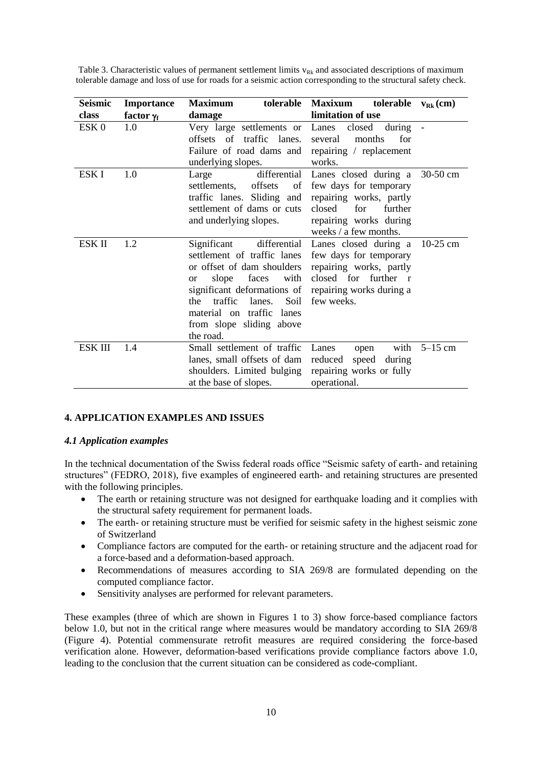| Table 3. Characteristic values of permanent settlement limits $v_{Rk}$ and associated descriptions of maximum |  |
|---------------------------------------------------------------------------------------------------------------|--|
| tolerable damage and loss of use for roads for a seismic action corresponding to the structural safety check. |  |

| Seismic          | <b>Importance</b> | tolerable<br><b>Maximum</b>                                                                                                                                                                                                                              | <b>Maxixum</b><br>tolerable $v_{Rk}$ (cm)                                                                                                                              |            |
|------------------|-------------------|----------------------------------------------------------------------------------------------------------------------------------------------------------------------------------------------------------------------------------------------------------|------------------------------------------------------------------------------------------------------------------------------------------------------------------------|------------|
| class            | factor $\gamma_f$ | damage                                                                                                                                                                                                                                                   | limitation of use                                                                                                                                                      |            |
| ESK <sub>0</sub> | 1.0               | Very large settlements or Lanes<br>offsets of traffic lanes.<br>Failure of road dams and<br>underlying slopes.                                                                                                                                           | closed<br>during<br>for<br>months<br>several<br>repairing / replacement<br>works.                                                                                      |            |
| ESK I            | 1.0               | Large<br>offsets<br>settlements.<br>of<br>traffic lanes. Sliding and<br>settlement of dams or cuts<br>and underlying slopes.                                                                                                                             | differential Lanes closed during a<br>few days for temporary<br>repairing works, partly<br>closed<br>for<br>further<br>repairing works during<br>weeks / a few months. | $30-50$ cm |
| ESK II           | 1.2               | Significant<br>settlement of traffic lanes<br>or offset of dam shoulders<br>with<br>faces<br>slope<br><b>or</b><br>significant deformations of<br>traffic<br>lanes.<br>Soil<br>the<br>material on traffic lanes<br>from slope sliding above<br>the road. | differential Lanes closed during a<br>few days for temporary<br>repairing works, partly<br>closed for further r<br>repairing works during a<br>few weeks.              | $10-25$ cm |
| ESK III          | 1.4               | Small settlement of traffic<br>lanes, small offsets of dam<br>shoulders. Limited bulging<br>at the base of slopes.                                                                                                                                       | with<br>Lanes<br>open<br>speed during<br>reduced<br>repairing works or fully<br>operational.                                                                           | $5-15$ cm  |

# **4. APPLICATION EXAMPLES AND ISSUES**

### *4.1 Application examples*

In the technical documentation of the Swiss federal roads office "Seismic safety of earth- and retaining structures" (FEDRO, 2018), five examples of engineered earth- and retaining structures are presented with the following principles.

- The earth or retaining structure was not designed for earthquake loading and it complies with the structural safety requirement for permanent loads.
- The earth- or retaining structure must be verified for seismic safety in the highest seismic zone of Switzerland
- Compliance factors are computed for the earth- or retaining structure and the adjacent road for a force-based and a deformation-based approach.
- Recommendations of measures according to SIA 269/8 are formulated depending on the computed compliance factor.
- Sensitivity analyses are performed for relevant parameters.

These examples (three of which are shown in Figures 1 to 3) show force-based compliance factors below 1.0, but not in the critical range where measures would be mandatory according to SIA 269/8 (Figure 4). Potential commensurate retrofit measures are required considering the force-based verification alone. However, deformation-based verifications provide compliance factors above 1.0, leading to the conclusion that the current situation can be considered as code-compliant.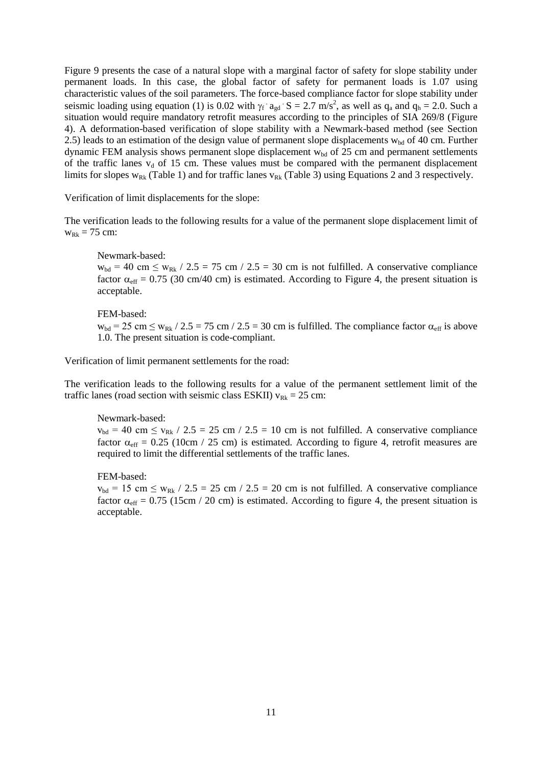Figure 9 presents the case of a natural slope with a marginal factor of safety for slope stability under permanent loads. In this case, the global factor of safety for permanent loads is 1.07 using characteristic values of the soil parameters. The force-based compliance factor for slope stability under seismic loading using equation (1) is 0.02 with  $\gamma_f$  a<sub>gd</sub>  $S = 2.7$  m/s<sup>2</sup>, as well as  $q_a$  and  $q_b = 2.0$ . Such a situation would require mandatory retrofit measures according to the principles of SIA 269/8 (Figure 4). A deformation-based verification of slope stability with a Newmark-based method (see Section 2.5) leads to an estimation of the design value of permanent slope displacements  $w_{bd}$  of 40 cm. Further dynamic FEM analysis shows permanent slope displacement  $w_{bd}$  of 25 cm and permanent settlements of the traffic lanes  $v_d$  of 15 cm. These values must be compared with the permanent displacement limits for slopes  $w_{Rk}$  (Table 1) and for traffic lanes  $v_{Rk}$  (Table 3) using Equations 2 and 3 respectively.

Verification of limit displacements for the slope:

The verification leads to the following results for a value of the permanent slope displacement limit of  $w_{Rk} = 75$  cm:

Newmark-based:

 $w_{bd} = 40$  cm  $\leq w_{Rk}$  / 2.5 = 75 cm / 2.5 = 30 cm is not fulfilled. A conservative compliance factor  $\alpha_{\text{eff}} = 0.75$  (30 cm/40 cm) is estimated. According to Figure 4, the present situation is acceptable.

### FEM-based:

 $w_{bd} = 25$  cm  $\leq w_{Rk}$  / 2.5 = 75 cm / 2.5 = 30 cm is fulfilled. The compliance factor  $\alpha_{eff}$  is above 1.0. The present situation is code-compliant.

Verification of limit permanent settlements for the road:

The verification leads to the following results for a value of the permanent settlement limit of the traffic lanes (road section with seismic class ESKII)  $v_{Rk} = 25$  cm:

### Newmark-based:

 $v_{bd}$  = 40 cm  $\le v_{Rk}$  / 2.5 = 25 cm / 2.5 = 10 cm is not fulfilled. A conservative compliance factor  $\alpha_{\text{eff}} = 0.25$  (10cm / 25 cm) is estimated. According to figure 4, retrofit measures are required to limit the differential settlements of the traffic lanes.

FEM-based:

 $v_{bd}$  = 15 cm  $\leq w_{Rk}$  / 2.5 = 25 cm / 2.5 = 20 cm is not fulfilled. A conservative compliance factor  $\alpha_{\text{eff}} = 0.75$  (15cm / 20 cm) is estimated. According to figure 4, the present situation is acceptable.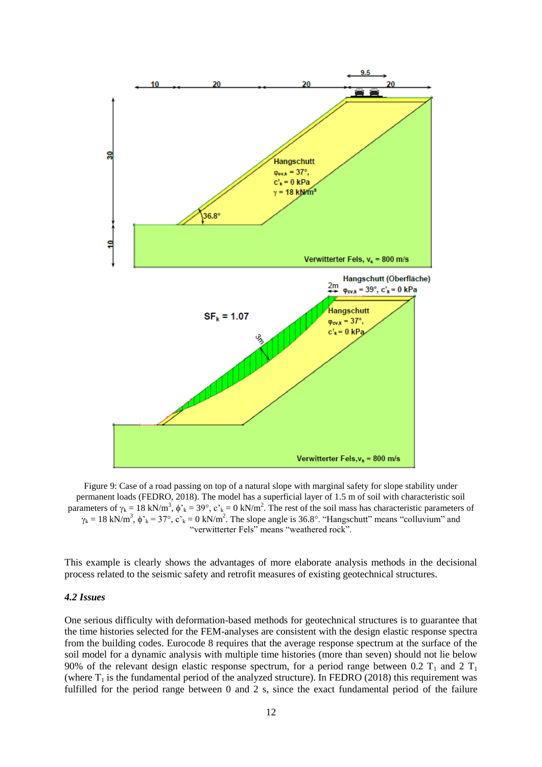

Figure 9: Case of a road passing on top of a natural slope with marginal safety for slope stability under permanent loads (FEDRO, 2018). The model has a superficial layer of 1.5 m of soil with characteristic soil parameters of  $\gamma_k = 18 \text{ kN/m}^3$ ,  $\phi_k = 39^\circ$ ,  $c_k = 0 \text{ kN/m}^2$ . The rest of the soil mass has characteristic parameters of  $\gamma_k = 18 \text{ kN/m}^3$ ,  $\phi'_{k} = 37^{\circ}$ ,  $c'_{k} = 0 \text{ kN/m}^2$ . The slope angle is 36.8°. "Hangschutt" means "colluvium" and "verwitterter Fels" means "weathered rock".

This example is clearly shows the advantages of more elaborate analysis methods in the decisional process related to the seismic safety and retrofit measures of existing geotechnical structures.

### *4.2 Issues*

One serious difficulty with deformation-based methods for geotechnical structures is to guarantee that the time histories selected for the FEM-analyses are consistent with the design elastic response spectra from the building codes. Eurocode 8 requires that the average response spectrum at the surface of the soil model for a dynamic analysis with multiple time histories (more than seven) should not lie below 90% of the relevant design elastic response spectrum, for a period range between 0.2  $T_1$  and 2  $T_1$ (where  $T_1$  is the fundamental period of the analyzed structure). In FEDRO (2018) this requirement was fulfilled for the period range between 0 and 2 s, since the exact fundamental period of the failure